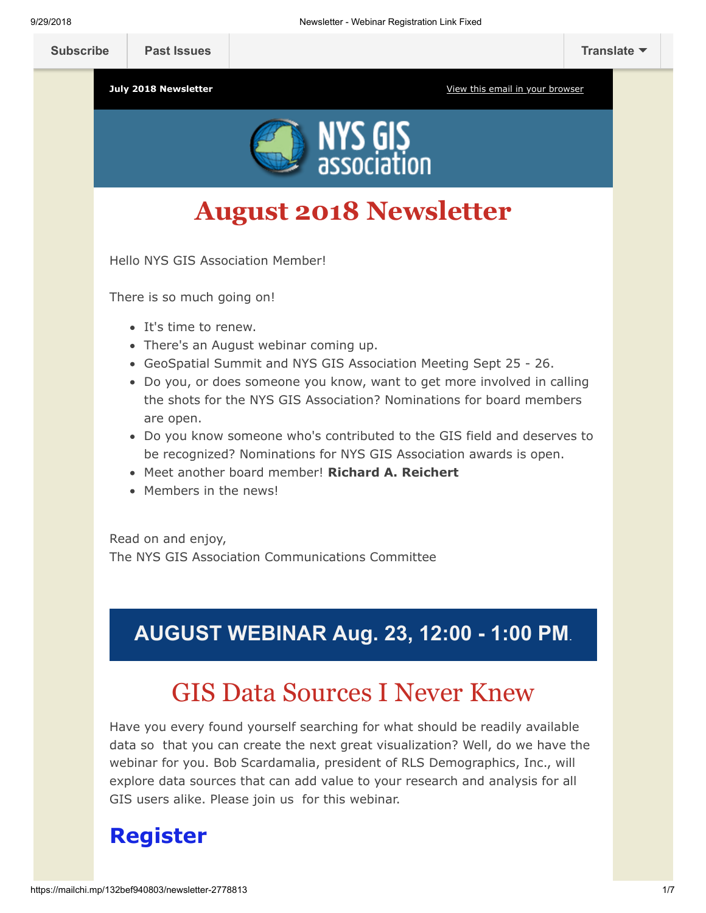

# **August 2018 Newsletter**

Hello NYS GIS Association Member!

There is so much going on!

- It's time to renew.
- There's an August webinar coming up.
- GeoSpatial Summit and NYS GIS Association Meeting Sept 25 26.
- Do you, or does someone you know, want to get more involved in calling the shots for the NYS GIS Association? Nominations for board members are open.
- Do you know someone who's contributed to the GIS field and deserves to be recognized? Nominations for NYS GIS Association awards is open.
- Meet another board member! **Richard A. Reichert**
- Members in the news!

Read on and enjoy, The NYS GIS Association Communications Committee

## **AUGUST WEBINAR Aug. 23, 12:00 - 1:00 PM**.

## GIS Data Sources I Never Knew

Have you every found yourself searching for what should be readily available data so that you can create the next great visualization? Well, do we have the webinar for you. Bob Scardamalia, president of RLS Demographics, Inc., will explore data sources that can add value to your research and analysis for all GIS users alike. Please join us for this webinar.

## **[Register](https://nysgisa.clickmeeting.com/gis-data-sources-i-never-knew/register)**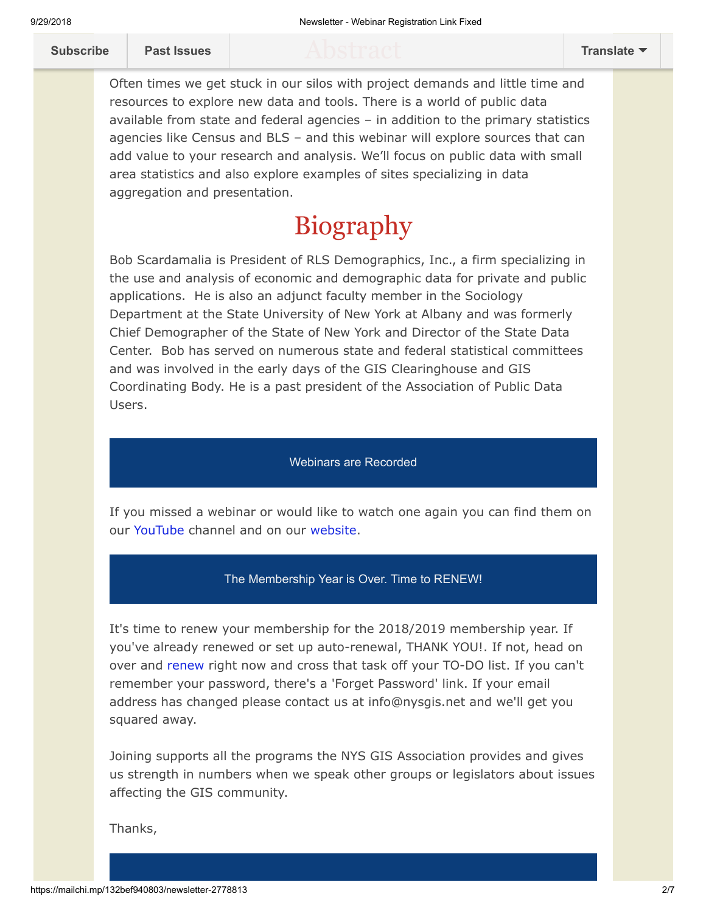Often times we get stuck in our silos with project demands and little time and resources to explore new data and tools. There is a world of public data available from state and federal agencies – in addition to the primary statistics agencies like Census and BLS – and this webinar will explore sources that can add value to your research and analysis. We'll focus on public data with small area statistics and also explore examples of sites specializing in data aggregation and presentation.

# Biography

Bob Scardamalia is President of RLS Demographics, Inc., a firm specializing in the use and analysis of economic and demographic data for private and public applications. He is also an adjunct faculty member in the Sociology Department at the State University of New York at Albany and was formerly Chief Demographer of the State of New York and Director of the State Data Center. Bob has served on numerous state and federal statistical committees and was involved in the early days of the GIS Clearinghouse and GIS Coordinating Body. He is a past president of the Association of Public Data Users.

### Webinars are Recorded

If you missed a webinar or would like to watch one again you can find them on our [YouTube](https://www.youtube.com/user/NYSGISA) channel and on our [website.](https://www.nysgis.net/featured/professional-development-resources/)

#### The Membership Year is Over. Time to RENEW!

It's time to renew your membership for the 2018/2019 membership year. If you've already renewed or set up auto-renewal, THANK YOU!. If not, head on over and [renew r](https://www.nysgis.net/joinus/join/login)ight now and cross that task off your TO-DO list. If you can't remember your password, there's a 'Forget Password' link. If your email address has changed please contact us at info@nysgis.net and we'll get you squared away.

Joining supports all the programs the NYS GIS Association provides and gives us strength in numbers when we speak other groups or legislators about issues affecting the GIS community.

Thanks,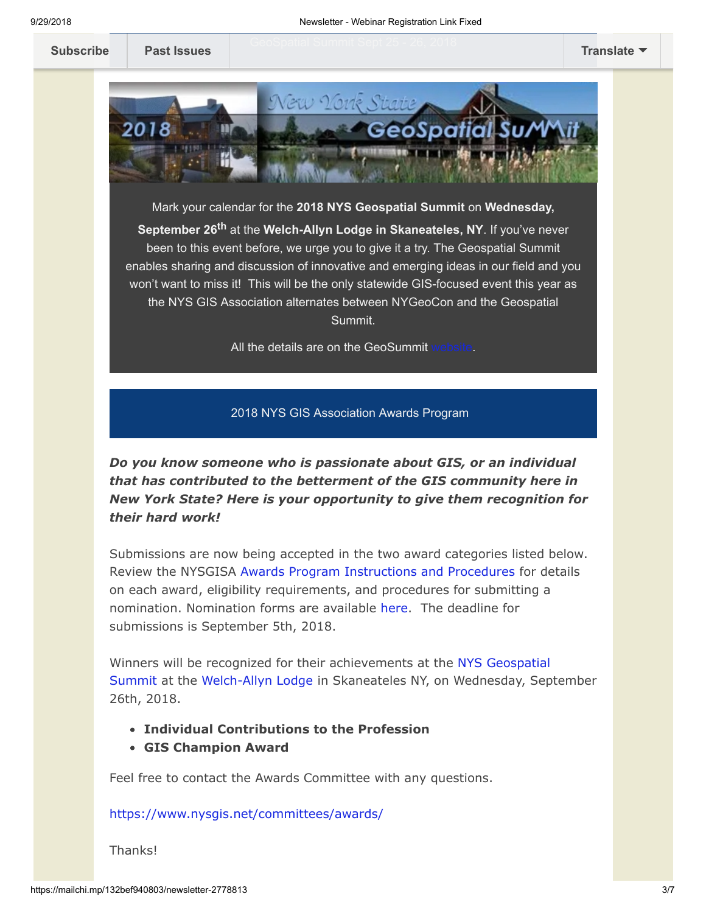

Mark your calendar for the **2018 NYS Geospatial Summit** on **Wednesday, September 26th** at the **Welch-Allyn Lodge in Skaneateles, NY**. If you've never been to this event before, we urge you to give it a try. The Geospatial Summit enables sharing and discussion of innovative and emerging ideas in our field and you won't want to miss it! This will be the only statewide GIS-focused event this year as the NYS GIS Association alternates between NYGeoCon and the Geospatial Summit.

All the details are on the GeoSummit

#### 2018 NYS GIS Association Awards Program

*Do you know someone who is passionate about GIS, or an individual that has contributed to the betterment of the GIS community here in New York State? Here is your opportunity to give them recognition for their hard work!*

Submissions are now being accepted in the two award categories listed below. Review the NYSGISA [Awards Program Instructions and Procedures](https://res.cloudinary.com/nysgisassociation/image/upload/v1525443107/2018-NYSGISAwardProgram_Procedures_r6cuv3.pdf) for details on each award, eligibility requirements, and procedures for submitting a nomination. Nomination forms are available [here.](https://nysgis.net/Docs/Awards/2018/NYSGISA_Award_Form.docx) The deadline for submissions is September 5th, 2018.

Winners will be recognized for their achievements at the NYS Geospatial [Summit at the Welch-Allyn Lodge in Skaneateles NY, on Wednesday, Sep](https://geosummit.nysgis.net/2018/)tember 26th, 2018.

- **Individual Contributions to the Profession**
- **GIS Champion Award**

Feel free to contact the Awards Committee with any questions.

<https://www.nysgis.net/committees/awards/>

Thanks!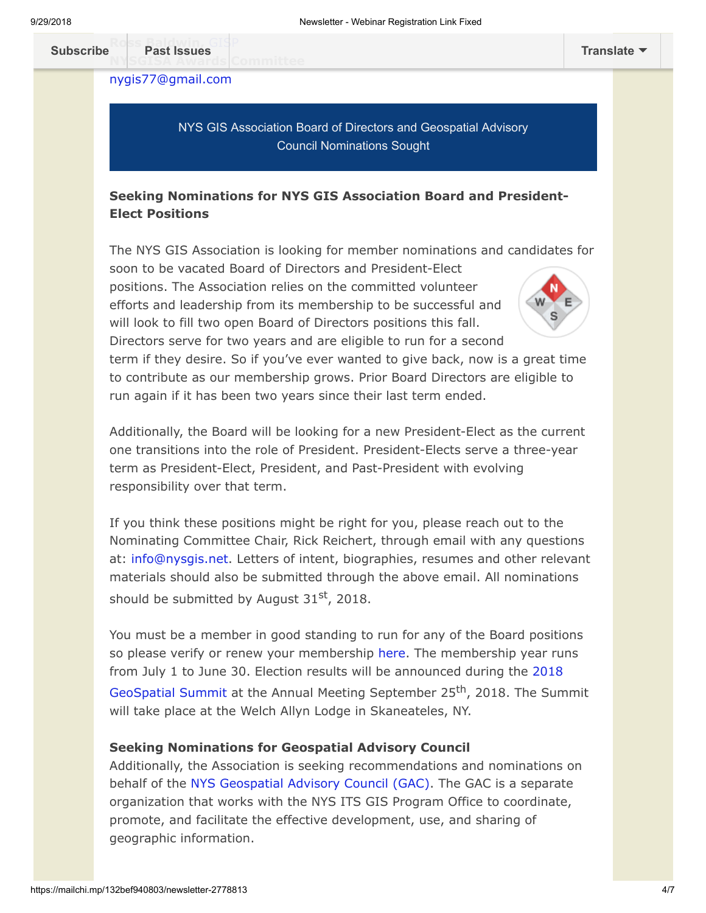**Subscribe** Past Issues **N[YSGISA Awards](https://us9.campaign-archive.com/home/?u=79136ebe8b18b11ee073cc61c&id=787fea6e72) Committee**

[nygis77@gmail.com](mailto:nygis77@gmail.com)

NYS GIS Association Board of Directors and Geospatial Advisory Council Nominations Sought

### **Seeking Nominations for NYS GIS Association Board and President-Elect Positions**

The NYS GIS Association is looking for member nominations and candidates for

soon to be vacated Board of Directors and President-Elect positions. The Association relies on the committed volunteer efforts and leadership from its membership to be successful and will look to fill two open Board of Directors positions this fall. Directors serve for two years and are eligible to run for a second



term if they desire. So if you've ever wanted to give back, now is a great time to contribute as our membership grows. Prior Board Directors are eligible to run again if it has been two years since their last term ended.

Additionally, the Board will be looking for a new President-Elect as the current one transitions into the role of President. President-Elects serve a three-year term as President-Elect, President, and Past-President with evolving responsibility over that term.

If you think these positions might be right for you, please reach out to the Nominating Committee Chair, Rick Reichert, through email with any questions at: [info@nysgis.net.](mailto:info@nysgis.net) Letters of intent, biographies, resumes and other relevant materials should also be submitted through the above email. All nominations should be submitted by August  $31<sup>st</sup>$ , 2018.

You must be a member in good standing to run for any of the Board positions so please verify or renew your membership [here.](https://www.nysgis.net/joinus/) The membership year runs [from July 1 to June 30. Election results will be announced during the 2018](https://nysgis.net/geosummit2018/) GeoSpatial Summit at the Annual Meeting September 25<sup>th</sup>, 2018. The Summit will take place at the Welch Allyn Lodge in Skaneateles, NY.

#### **Seeking Nominations for Geospatial Advisory Council**

Additionally, the Association is seeking recommendations and nominations on behalf of the [NYS Geospatial Advisory Council \(GAC\)](https://gis.ny.gov/coordinationprogram/workgroups/details/?ID=10). The GAC is a separate organization that works with the NYS ITS GIS Program Office to coordinate, promote, and facilitate the effective development, use, and sharing of geographic information.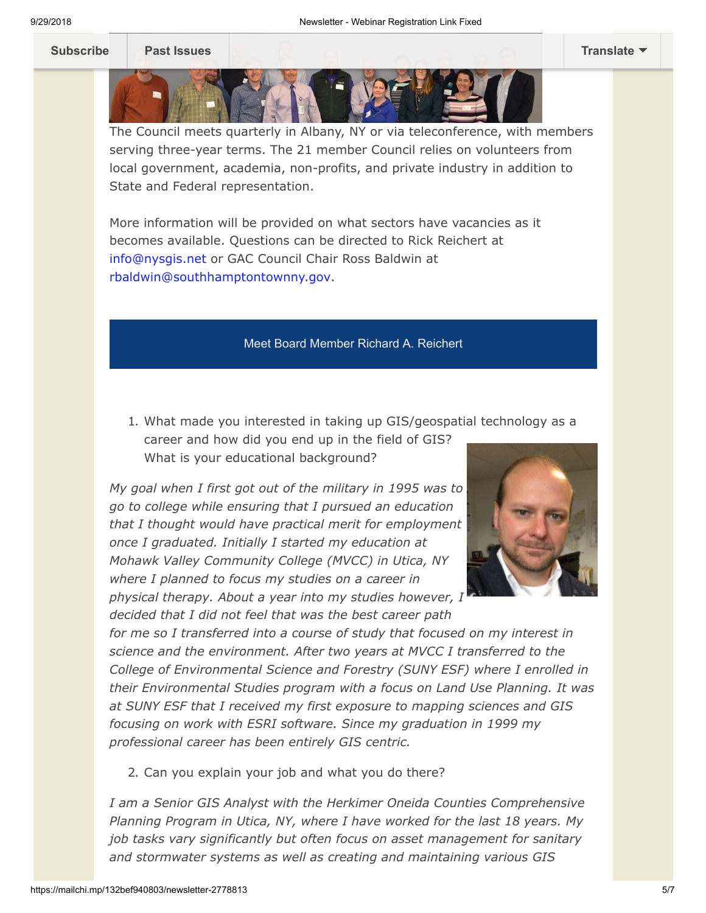The Council meets quarterly in Albany, NY or via teleconference, with members serving three-year terms. The 21 member Council relies on volunteers from local government, academia, non-profits, and private industry in addition to State and Federal representation.

More information will be provided on what sectors have vacancies as it becomes available. Questions can be directed to Rick Reichert at [info@nysgis.net](mailto:info@nysgis.net) or GAC Council Chair Ross Baldwin at [rbaldwin@southhamptontownny.gov.](mailto:rbaldwin@southhamptontownny.gov)

#### Meet Board Member Richard A. Reichert

1. What made you interested in taking up GIS/geospatial technology as a career and how did you end up in the field of GIS? What is your educational background?

*My goal when I first got out of the military in 1995 was to go to college while ensuring that I pursued an education that I thought would have practical merit for employment once I graduated. Initially I started my education at Mohawk Valley Community College (MVCC) in Utica, NY where I planned to focus my studies on a career in physical therapy. About a year into my studies however, I*

*decided that I did not feel that was the best career path*



*for me so I transferred into a course of study that focused on my interest in science and the environment. After two years at MVCC I transferred to the College of Environmental Science and Forestry (SUNY ESF) where I enrolled in their Environmental Studies program with a focus on Land Use Planning. It was at SUNY ESF that I received my first exposure to mapping sciences and GIS focusing on work with ESRI software. Since my graduation in 1999 my professional career has been entirely GIS centric.*

2. Can you explain your job and what you do there?

*I am a Senior GIS Analyst with the Herkimer Oneida Counties Comprehensive Planning Program in Utica, NY, where I have worked for the last 18 years. My job tasks vary significantly but often focus on asset management for sanitary and stormwater systems as well as creating and maintaining various GIS*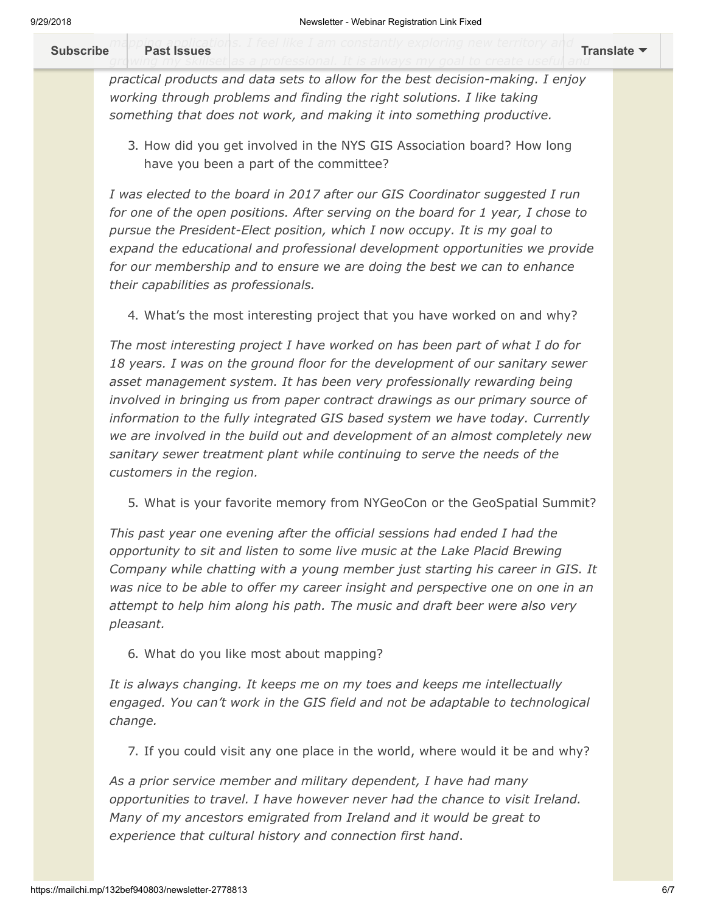*m[apping application](https://us9.campaign-archive.com/home/?u=79136ebe8b18b11ee073cc61c&id=787fea6e72)s. I feel like I am constantly exploring new territory and* growing my skillset|as a professional. It is always my goal to create useful| and **[Subscribe](http://eepurl.com/c1OotD) Past Issues [Translate](javascript:;)**

*practical products and data sets to allow for the best decision-making. I enjoy working through problems and finding the right solutions. I like taking something that does not work, and making it into something productive.*

3. How did you get involved in the NYS GIS Association board? How long have you been a part of the committee?

*I was elected to the board in 2017 after our GIS Coordinator suggested I run for one of the open positions. After serving on the board for 1 year, I chose to pursue the President-Elect position, which I now occupy. It is my goal to expand the educational and professional development opportunities we provide for our membership and to ensure we are doing the best we can to enhance their capabilities as professionals.* 

4. What's the most interesting project that you have worked on and why?

*The most interesting project I have worked on has been part of what I do for 18 years. I was on the ground floor for the development of our sanitary sewer asset management system. It has been very professionally rewarding being involved in bringing us from paper contract drawings as our primary source of information to the fully integrated GIS based system we have today. Currently we are involved in the build out and development of an almost completely new sanitary sewer treatment plant while continuing to serve the needs of the customers in the region.*

5. What is your favorite memory from NYGeoCon or the GeoSpatial Summit?

*This past year one evening after the official sessions had ended I had the opportunity to sit and listen to some live music at the Lake Placid Brewing Company while chatting with a young member just starting his career in GIS. It was nice to be able to offer my career insight and perspective one on one in an attempt to help him along his path. The music and draft beer were also very pleasant.*

6. What do you like most about mapping?

*It is always changing. It keeps me on my toes and keeps me intellectually engaged. You can't work in the GIS field and not be adaptable to technological change.*

7. If you could visit any one place in the world, where would it be and why?

*As a prior service member and military dependent, I have had many opportunities to travel. I have however never had the chance to visit Ireland. Many of my ancestors emigrated from Ireland and it would be great to experience that cultural history and connection first hand*.